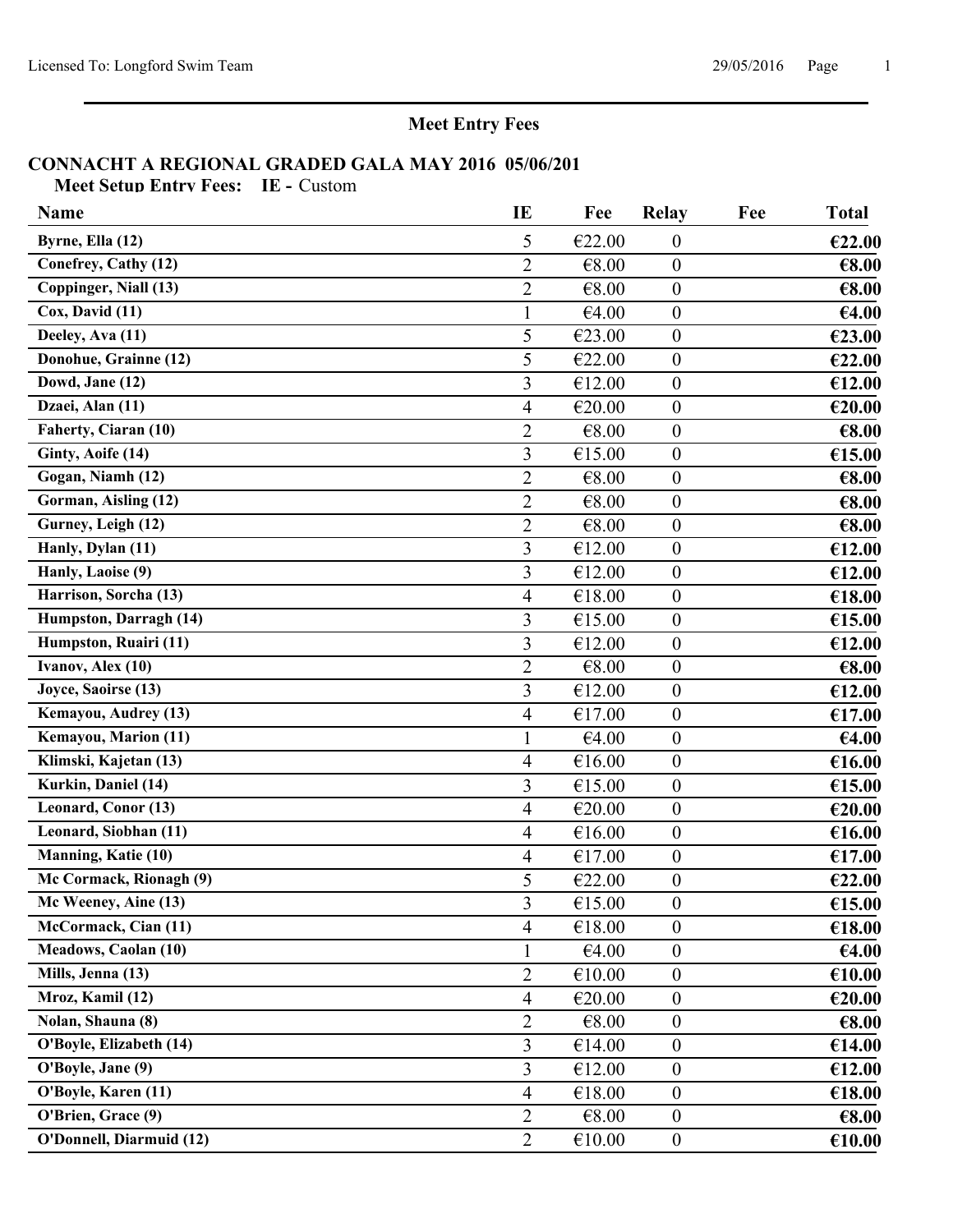**Meet Entry Fees**

#### **CONNACHT A REGIONAL GRADED GALA MAY 2016 05/06/201**

**Meet Setup Entry Fees: IE -** Custom

| <b>Name</b>                                | IE             | Fee      | <b>Relay</b>     | Fee | <b>Total</b> |
|--------------------------------------------|----------------|----------|------------------|-----|--------------|
| Byrne, Ella (12)                           | 5              | €22.00   | $\boldsymbol{0}$ |     | €22.00       |
| Conefrey, Cathy (12)                       | $\overline{2}$ | €8.00    | $\boldsymbol{0}$ |     | €8.00        |
| Coppinger, Niall (13)                      | $\overline{2}$ | €8.00    | $\mathbf{0}$     |     | €8.00        |
| Cox, David (11)                            |                | €4.00    | $\boldsymbol{0}$ |     | €4.00        |
| Deeley, Ava $(11)$                         | 5              | €23.00   | $\boldsymbol{0}$ |     | €23.00       |
| Donohue, Grainne (12)                      | 5              | €22.00   | $\boldsymbol{0}$ |     | €22.00       |
| $\overline{\text{Dowd}, \text{Jane}}$ (12) | 3              | €12.00   | $\boldsymbol{0}$ |     | €12.00       |
| Dzaei, Alan (11)                           | 4              | €20.00   | $\boldsymbol{0}$ |     | €20.00       |
| Faherty, Ciaran (10)                       | $\overline{2}$ | €8.00    | $\boldsymbol{0}$ |     | €8.00        |
| Ginty, Aoife (14)                          | 3              | €15.00   | $\boldsymbol{0}$ |     | €15.00       |
| Gogan, Niamh (12)                          | $\overline{2}$ | €8.00    | $\boldsymbol{0}$ |     | €8.00        |
| Gorman, Aisling (12)                       | $\overline{2}$ | €8.00    | $\boldsymbol{0}$ |     | €8.00        |
| Gurney, Leigh (12)                         | $\overline{2}$ | €8.00    | $\boldsymbol{0}$ |     | €8.00        |
| Hanly, Dylan (11)                          | 3              | €12.00   | $\boldsymbol{0}$ |     | €12.00       |
| Hanly, Laoise (9)                          | 3              | €12.00   | $\boldsymbol{0}$ |     | €12.00       |
| Harrison, Sorcha (13)                      | 4              | €18.00   | $\boldsymbol{0}$ |     | €18.00       |
| Humpston, Darragh (14)                     | 3              | €15.00   | $\boldsymbol{0}$ |     | €15.00       |
| Humpston, Ruairi (11)                      | 3              | €12.00   | $\mathbf{0}$     |     | €12.00       |
| Ivanov, Alex (10)                          | $\overline{2}$ | €8.00    | $\boldsymbol{0}$ |     | €8.00        |
| Joyce, Saoirse (13)                        | 3              | €12.00   | $\boldsymbol{0}$ |     | €12.00       |
| Kemayou, Audrey (13)                       | $\overline{4}$ | €17.00   | $\boldsymbol{0}$ |     | €17.00       |
| Kemayou, Marion (11)                       | 1              | €4.00    | $\boldsymbol{0}$ |     | €4.00        |
| Klimski, Kajetan (13)                      | 4              | €16.00   | $\boldsymbol{0}$ |     | €16.00       |
| Kurkin, Daniel (14)                        | 3              | €15.00   | $\boldsymbol{0}$ |     | €15.00       |
| Leonard, Conor (13)                        | 4              | €20.00   | $\boldsymbol{0}$ |     | €20.00       |
| Leonard, Siobhan (11)                      | $\overline{4}$ | €16.00   | $\boldsymbol{0}$ |     | €16.00       |
| Manning, Katie (10)                        | 4              | €17.00   | $\boldsymbol{0}$ |     | €17.00       |
| Mc Cormack, Rionagh (9)                    | 5              | €22.00   | $\boldsymbol{0}$ |     | €22.00       |
| Mc Weeney, Aine (13)                       | 3              | €15.00   | $\boldsymbol{0}$ |     | €15.00       |
| McCormack, Cian (11)                       | 4              | €18.00   | $\theta$         |     | €18.00       |
| <b>Meadows, Caolan (10)</b>                | $\mathbf{1}$   | €4.00    | $\boldsymbol{0}$ |     | €4.00        |
| Mills, Jenna (13)                          | $\overline{2}$ | €10.00   | $\boldsymbol{0}$ |     | €10.00       |
| Mroz, Kamil (12)                           | $\overline{4}$ | €20.00   | $\boldsymbol{0}$ |     | €20.00       |
| Nolan, Shauna (8)                          | $\overline{2}$ | €8.00    | $\boldsymbol{0}$ |     | €8.00        |
| O'Boyle, Elizabeth (14)                    | 3              | €14.00   | $\boldsymbol{0}$ |     | €14.00       |
| O'Boyle, Jane (9)                          | 3              | €12.00   | $\boldsymbol{0}$ |     | €12.00       |
| O'Boyle, Karen (11)                        | $\overline{4}$ | €18.00   | $\boldsymbol{0}$ |     | €18.00       |
| O'Brien, Grace (9)                         | $\overline{2}$ | € $8.00$ | $\boldsymbol{0}$ |     | €8.00        |
| O'Donnell, Diarmuid (12)                   | $\overline{2}$ | €10.00   | $\boldsymbol{0}$ |     | €10.00       |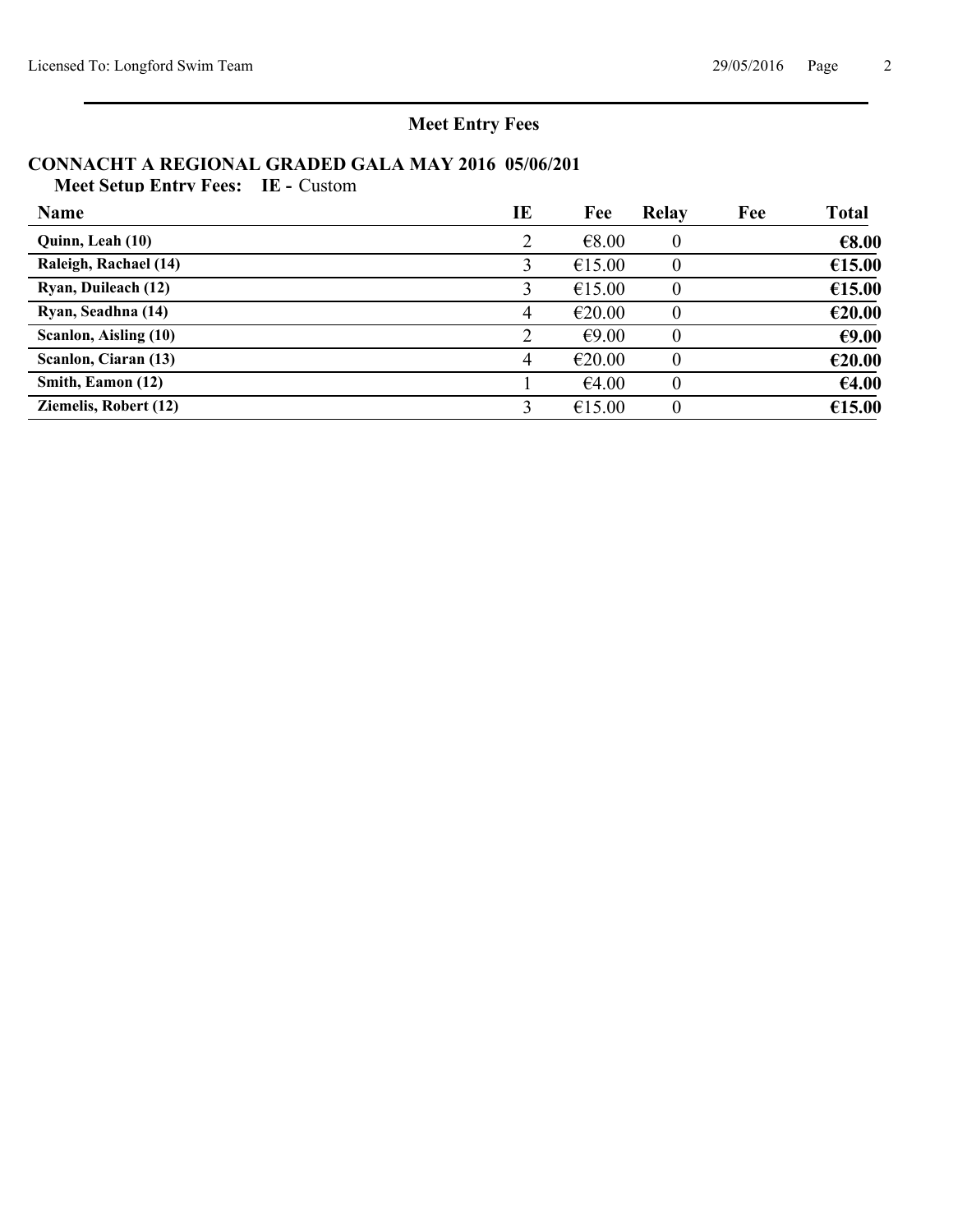# **Meet Entry Fees**

# **CONNACHT A REGIONAL GRADED GALA MAY 2016 05/06/201**

**Meet Setup Entry Fees: IE -** Custom

| <b>Name</b>                  | IE | Fee    | <b>Relay</b> | Fee | <b>Total</b> |
|------------------------------|----|--------|--------------|-----|--------------|
| Quinn, Leah (10)             | 2  | €8.00  |              |     | €8.00        |
| Raleigh, Rachael (14)        |    | €15.00 |              |     | €15.00       |
| Ryan, Duileach (12)          |    | €15.00 |              |     | €15.00       |
| Ryan, Seadhna (14)           | 4  | €20.00 |              |     | €20.00       |
| Scanlon, Aisling (10)        |    | €9.00  |              |     | €9.00        |
| Scanlon, Ciaran (13)         | 4  | €20.00 |              |     | €20.00       |
| Smith, Eamon (12)            |    | €4.00  |              |     | €4.00        |
| <b>Ziemelis, Robert (12)</b> |    | €15.00 |              |     | €15.00       |